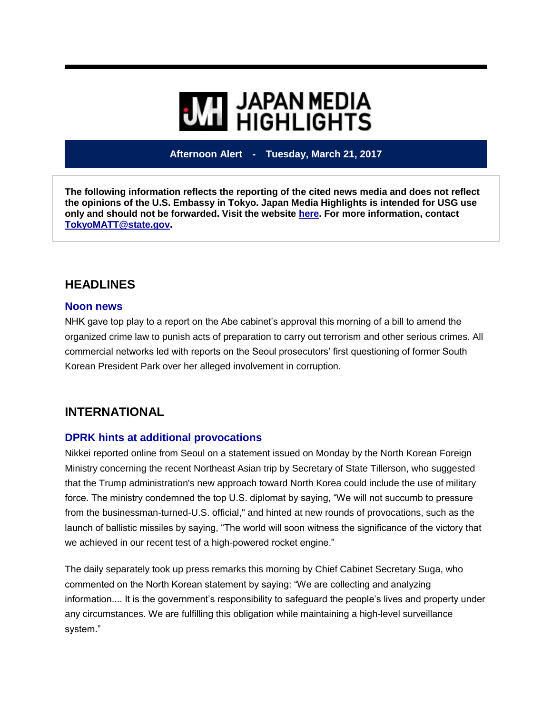# **WIL HIGHLIGHTS**

**Afternoon Alert - Tuesday, March 21, 2017**

**The following information reflects the reporting of the cited news media and does not reflect the opinions of the U.S. Embassy in Tokyo. Japan Media Highlights is intended for USG use only and should not be forwarded. Visit the website [here.](https://jmh.usembassy.gov/) For more information, contact [TokyoMATT@state.gov.](mailto:TokyoMATT@state.gov)**

## **HEADLINES**

#### **Noon news**

NHK gave top play to a report on the Abe cabinet's approval this morning of a bill to amend the organized crime law to punish acts of preparation to carry out terrorism and other serious crimes. All commercial networks led with reports on the Seoul prosecutors' first questioning of former South Korean President Park over her alleged involvement in corruption.

## **INTERNATIONAL**

#### **DPRK hints at additional provocations**

Nikkei reported online from Seoul on a statement issued on Monday by the North Korean Foreign Ministry concerning the recent Northeast Asian trip by Secretary of State Tillerson, who suggested that the Trump administration's new approach toward North Korea could include the use of military force. The ministry condemned the top U.S. diplomat by saying, "We will not succumb to pressure from the businessman-turned-U.S. official," and hinted at new rounds of provocations, such as the launch of ballistic missiles by saying, "The world will soon witness the significance of the victory that we achieved in our recent test of a high-powered rocket engine."

The daily separately took up press remarks this morning by Chief Cabinet Secretary Suga, who commented on the North Korean statement by saying: "We are collecting and analyzing information.... It is the government's responsibility to safeguard the people's lives and property under any circumstances. We are fulfilling this obligation while maintaining a high-level surveillance system."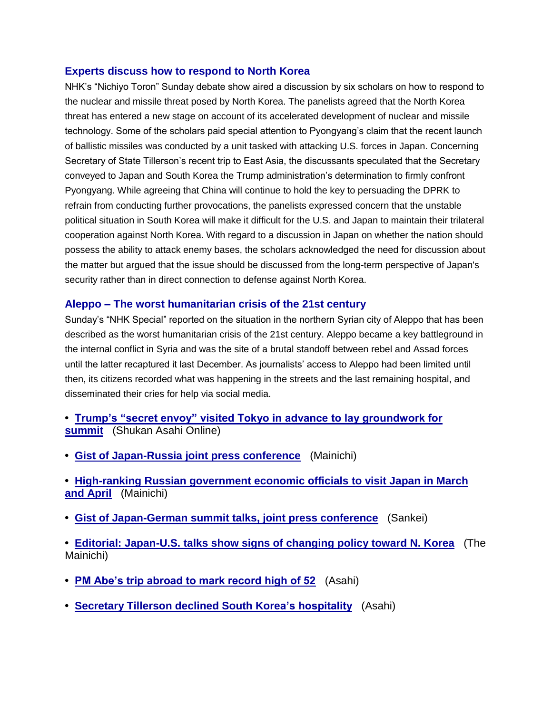#### **Experts discuss how to respond to North Korea**

NHK's "Nichiyo Toron" Sunday debate show aired a discussion by six scholars on how to respond to the nuclear and missile threat posed by North Korea. The panelists agreed that the North Korea threat has entered a new stage on account of its accelerated development of nuclear and missile technology. Some of the scholars paid special attention to Pyongyang's claim that the recent launch of ballistic missiles was conducted by a unit tasked with attacking U.S. forces in Japan. Concerning Secretary of State Tillerson's recent trip to East Asia, the discussants speculated that the Secretary conveyed to Japan and South Korea the Trump administration's determination to firmly confront Pyongyang. While agreeing that China will continue to hold the key to persuading the DPRK to refrain from conducting further provocations, the panelists expressed concern that the unstable political situation in South Korea will make it difficult for the U.S. and Japan to maintain their trilateral cooperation against North Korea. With regard to a discussion in Japan on whether the nation should possess the ability to attack enemy bases, the scholars acknowledged the need for discussion about the matter but argued that the issue should be discussed from the long-term perspective of Japan's security rather than in direct connection to defense against North Korea.

#### **Aleppo – The worst humanitarian crisis of the 21st century**

Sunday's "NHK Special" reported on the situation in the northern Syrian city of Aleppo that has been described as the worst humanitarian crisis of the 21st century. Aleppo became a key battleground in the internal conflict in Syria and was the site of a brutal standoff between rebel and Assad forces until the latter recaptured it last December. As journalists' access to Aleppo had been limited until then, its citizens recorded what was happening in the streets and the last remaining hospital, and disseminated their cries for help via social media.

- **• [Trump's "secret envoy" visited Tokyo in advance to lay groundwork for](https://jmh.usembassy.gov/2017032117479/)  [summit](https://jmh.usembassy.gov/2017032117479/)** (Shukan Asahi Online)
- **• [Gist of Japan-Russia joint press conference](https://jmh.usembassy.gov/2017032117585/)** (Mainichi)
- **• [High-ranking Russian government economic officials to visit Japan in March](https://jmh.usembassy.gov/2017032117529/)  [and April](https://jmh.usembassy.gov/2017032117529/)** (Mainichi)
- **• [Gist of Japan-German summit talks, joint press conference](https://jmh.usembassy.gov/2017032117564/)** (Sankei)
- **• [Editorial: Japan-U.S. talks show signs of changing policy toward N. Korea](https://jmh.usembassy.gov/2017032117526/)** (The Mainichi)
- **• [PM Abe's trip abroad to mark record high of 52](https://jmh.usembassy.gov/2017032117549/)** (Asahi)
- **• [Secretary Tillerson declined South Korea's hospitality](https://jmh.usembassy.gov/2017032117560/)** (Asahi)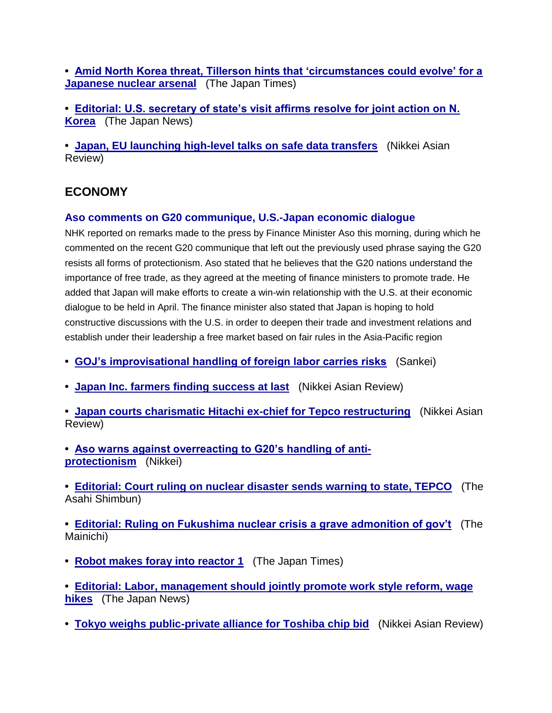**• [Amid North Korea threat, Tillerson hints that 'circumstances could evolve' for a](https://jmh.usembassy.gov/2017032117530/)  [Japanese nuclear arsenal](https://jmh.usembassy.gov/2017032117530/)** (The Japan Times)

**• [Editorial: U.S. secretary of state's visit affirms resolve for joint action on N.](https://jmh.usembassy.gov/2017032117518/)  [Korea](https://jmh.usembassy.gov/2017032117518/)** (The Japan News)

**• [Japan, EU launching high-level talks on safe data transfers](https://jmh.usembassy.gov/2017032117544/)** (Nikkei Asian Review)

### **ECONOMY**

#### **Aso comments on G20 communique, U.S.-Japan economic dialogue**

NHK reported on remarks made to the press by Finance Minister Aso this morning, during which he commented on the recent G20 communique that left out the previously used phrase saying the G20 resists all forms of protectionism. Aso stated that he believes that the G20 nations understand the importance of free trade, as they agreed at the meeting of finance ministers to promote trade. He added that Japan will make efforts to create a win-win relationship with the U.S. at their economic dialogue to be held in April. The finance minister also stated that Japan is hoping to hold constructive discussions with the U.S. in order to deepen their trade and investment relations and establish under their leadership a free market based on fair rules in the Asia-Pacific region

- **• [GOJ's improvisational handling of foreign labor carries risks](https://jmh.usembassy.gov/2017032117567/)** (Sankei)
- **• [Japan Inc. farmers finding success at last](https://jmh.usembassy.gov/2017032117584/)** (Nikkei Asian Review)

**• [Japan courts charismatic Hitachi ex-chief for Tepco restructuring](https://jmh.usembassy.gov/2017032117540/)** (Nikkei Asian Review)

**• [Aso warns against overreacting to G20's handling of anti](https://jmh.usembassy.gov/2017032117561/)[protectionism](https://jmh.usembassy.gov/2017032117561/)** (Nikkei)

**• [Editorial: Court ruling on nuclear disaster sends warning to state, TEPCO](https://jmh.usembassy.gov/2017032117522/)** (The Asahi Shimbun)

**• Editorial: [Ruling on Fukushima nuclear crisis a grave admonition of gov't](https://jmh.usembassy.gov/2017032117524/)** (The Mainichi)

**• [Robot makes foray into reactor 1](https://jmh.usembassy.gov/2017032117528/)** (The Japan Times)

**• [Editorial: Labor, management should jointly promote work style reform, wage](https://jmh.usembassy.gov/2017032117521/)  [hikes](https://jmh.usembassy.gov/2017032117521/)** (The Japan News)

**• [Tokyo weighs public-private alliance for Toshiba chip bid](https://jmh.usembassy.gov/2017032117541/)** (Nikkei Asian Review)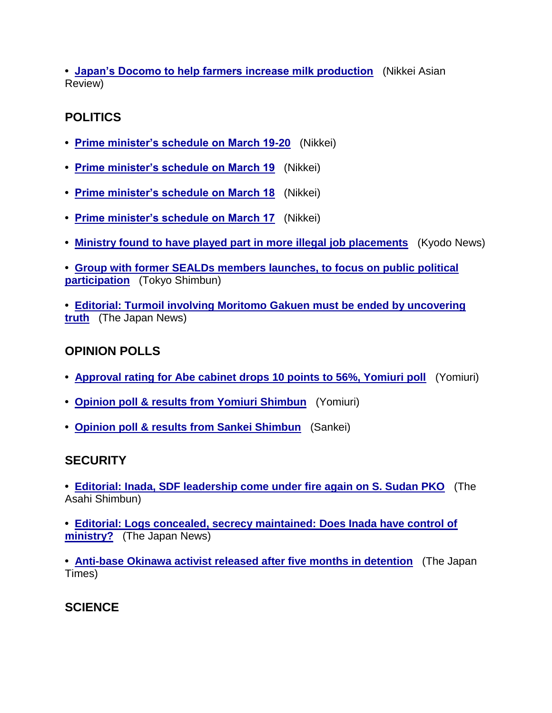**• [Japan's Docomo to help farmers increase milk production](https://jmh.usembassy.gov/2017032117539/)** (Nikkei Asian Review)

## **POLITICS**

- **• [Prime minister's schedule on March 19-20](https://jmh.usembassy.gov/2017032117558/)** (Nikkei)
- **• [Prime minister's schedule on March 19](https://jmh.usembassy.gov/2017032117556/)** (Nikkei)
- **• [Prime minister's schedule on March 18](https://jmh.usembassy.gov/2017032117555/)** (Nikkei)
- **• [Prime minister's schedule on March 17](https://jmh.usembassy.gov/2017032117553/)** (Nikkei)
- **• [Ministry found to have played part in more illegal job placements](https://jmh.usembassy.gov/2017032117533/)** (Kyodo News)
- **• [Group with former SEALDs members launches, to focus on public political](https://jmh.usembassy.gov/2017032117577/)  [participation](https://jmh.usembassy.gov/2017032117577/)** (Tokyo Shimbun)

**• [Editorial: Turmoil involving Moritomo Gakuen must be ended by uncovering](https://jmh.usembassy.gov/2017032117519/)  [truth](https://jmh.usembassy.gov/2017032117519/)** (The Japan News)

## **OPINION POLLS**

- **• [Approval rating for Abe cabinet drops 10 points to 56%, Yomiuri poll](https://jmh.usembassy.gov/2017032117575/)** (Yomiuri)
- **• [Opinion poll & results from Yomiuri Shimbun](https://jmh.usembassy.gov/2017032117578/)** (Yomiuri)
- **• [Opinion poll & results from Sankei Shimbun](https://jmh.usembassy.gov/2017032117582/)** (Sankei)

## **SECURITY**

- **• [Editorial: Inada, SDF leadership come under fire again on S. Sudan PKO](https://jmh.usembassy.gov/2017032117523/)** (The Asahi Shimbun)
- **• [Editorial: Logs concealed, secrecy maintained: Does Inada have control of](https://jmh.usembassy.gov/2017032117520/)  [ministry?](https://jmh.usembassy.gov/2017032117520/)** (The Japan News)
- **• [Anti-base Okinawa activist released after five months in detention](https://jmh.usembassy.gov/2017032117565/)** (The Japan Times)

## **SCIENCE**